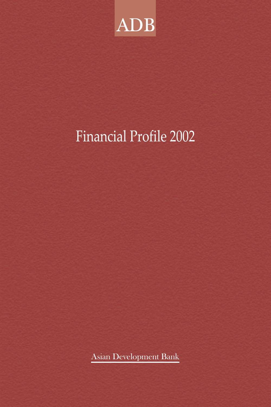

# Financial Profile 2002

Asian Development Bank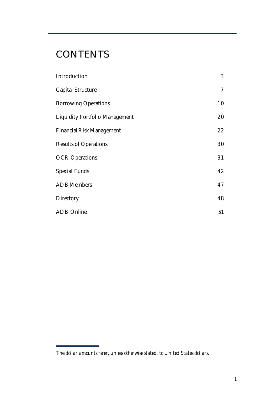# **CONTENTS**

| Introduction                          | 3  |
|---------------------------------------|----|
| <b>Capital Structure</b>              | 7  |
| <b>Borrowing Operations</b>           | 10 |
| <b>Liquidity Portfolio Management</b> | 20 |
| <b>Financial Risk Management</b>      | 22 |
| <b>Results of Operations</b>          | 30 |
| <b>OCR Operations</b>                 | 31 |
| <b>Special Funds</b>                  | 42 |
| ADB Members                           | 47 |
| Directory                             | 48 |
| ADB Online                            | 51 |

*The dollar amounts refer, unless otherwise stated, to United States dollars*.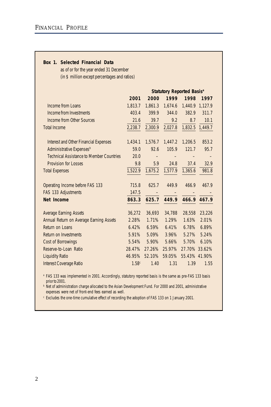#### **Box 1. Selected Financial Data**

as of or for the year ended 31 December (in \$ million except percentages and ratios)

|                                                 | <b>Statutory Reported Basis<sup>a</sup></b> |         |         |               |             |
|-------------------------------------------------|---------------------------------------------|---------|---------|---------------|-------------|
|                                                 | 2001                                        | 2000    | 1999    | 1998          | 1997        |
| Income from Loans                               | 1.813.7                                     | 1.861.3 | 1.674.6 | 1.440.9       | 1.127.9     |
| Income from Investments                         | 403.4                                       | 399.9   | 344.0   | 382.9         | 311.7       |
| Income from Other Sources                       | 21.6                                        | 39.7    | 9.2     | 8.7           | 10.1        |
| <b>Total Income</b>                             | 2,238.7                                     | 2,300.9 | 2,027.8 | 1,832.5       | 1,449.7     |
|                                                 |                                             |         |         |               |             |
| <b>Interest and Other Financial Expenses</b>    | 1,434.1                                     | 1,576.7 | 1,447.2 | 1,206.5       | 853.2       |
| Administrative Expenses <sup>b</sup>            | 59.0                                        | 92.6    | 105.9   | 121.7         | 95.7        |
| <b>Technical Assistance to Member Countries</b> | 20.0                                        |         |         |               |             |
| <b>Provision for Losses</b>                     | 9.8                                         | 5.9     | 24.8    | 37.4          | 32.9        |
| <b>Total Expenses</b>                           | 1,522.9                                     | 1,675.2 | 1,577.9 | 1,365.6       | 981.8       |
|                                                 |                                             |         |         |               |             |
| Operating Income before FAS 133                 | 715.8                                       | 625.7   | 449.9   | 466.9         | 467.9       |
| FAS 133 Adjustments                             | 147.5                                       |         |         |               |             |
| Net Income                                      | 863.3                                       | 625.7   | 449.9   |               | 466.9 467.9 |
|                                                 |                                             |         |         |               |             |
| <b>Average Earning Assets</b>                   | 36,272                                      | 36,693  | 34,788  | 28,558        | 23,226      |
| Annual Return on Average Earning Assets         | 2.28%                                       | 1.71%   | 1.29%   | 1.63%         | 2.01%       |
| Return on Loans                                 | 6.42%                                       | 6.59%   | 6.41%   | 6.78%         | 6.89%       |
| Return on Investments                           | 5.91%                                       | 5.09%   | 3.96%   | 5.27%         | 5.24%       |
| <b>Cost of Borrowings</b>                       | 5.54%                                       | 5.90%   | 5.66%   | 5.70%         | 6.10%       |
| Reserve-to-Loan Ratio                           | 28.47%                                      | 27.26%  | 25.97%  | 27.70% 33.62% |             |
| <b>Liquidity Ratio</b>                          | 46.95%                                      | 52.10%  | 59.05%  | 55.43% 41.90% |             |
| <b>Interest Coverage Ratio</b>                  | 1.58c                                       | 1.40    | 1.31    | 1.39          | 1.55        |

<sup>a</sup> FAS 133 was implemented in 2001. Accordingly, statutory reported basis is the same as pre-FAS 133 basis prior to 2001.

**b** Net of administration charge allocated to the Asian Development Fund. For 2000 and 2001, administrative expenses were net of front-end fees earned as well.

<sup>c</sup> Excludes the one-time cumulative effect of recording the adoption of FAS 133 on 1 January 2001.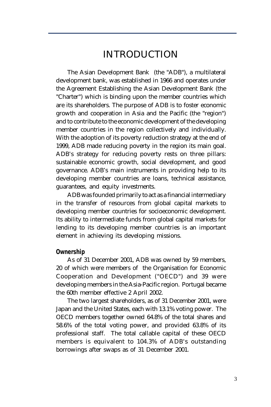# INTRODUCTION

The Asian Development Bank (the "ADB"), a multilateral development bank, was established in 1966 and operates under the Agreement Establishing the Asian Development Bank (the "Charter") which is binding upon the member countries which are its shareholders. The purpose of ADB is to foster economic growth and cooperation in Asia and the Pacific (the "region") and to contribute to the economic development of the developing member countries in the region collectively and individually. With the adoption of its poverty reduction strategy at the end of 1999, ADB made reducing poverty in the region its main goal. ADB's strategy for reducing poverty rests on three pillars: sustainable economic growth, social development, and good governance. ADB's main instruments in providing help to its developing member countries are loans, technical assistance, guarantees, and equity investments.

ADB was founded primarily to act as a financial intermediary in the transfer of resources from global capital markets to developing member countries for socioeconomic development. Its ability to intermediate funds from global capital markets for lending to its developing member countries is an important element in achieving its developing missions.

### **Ownership**

As of 31 December 2001, ADB was owned by 59 members, 20 of which were members of the Organisation for Economic Cooperation and Development ("OECD") and 39 were developing members in the Asia-Pacific region. Portugal became the 60th member effective 2 April 2002.

The two largest shareholders, as of 31 December 2001, were Japan and the United States, each with 13.1% voting power. The OECD members together owned 64.8% of the total shares and 58.6% of the total voting power, and provided 63.8% of its professional staff. The total callable capital of these OECD members is equivalent to 104.3% of ADB's outstanding borrowings after swaps as of 31 December 2001.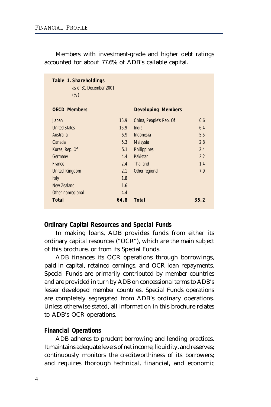| Table 1. Shareholdings<br>as of 31 December 2001<br>(% ) |      |                           |      |
|----------------------------------------------------------|------|---------------------------|------|
| <b>OECD Members</b>                                      |      | <b>Developing Members</b> |      |
| Japan                                                    | 15.9 | China, People's Rep. Of   | 6.6  |
| <b>United States</b>                                     | 15.9 | India                     | 6.4  |
| Australia                                                | 5.9  | Indonesia                 | 5.5  |
| Canada                                                   | 5.3  | Malaysia                  | 2.8  |
| Korea, Rep. Of                                           | 5.1  | <b>Philippines</b>        | 2.4  |
| Germany                                                  | 4.4  | Pakistan                  | 2.2  |
| France                                                   | 2.4  | <b>Thailand</b>           | 1.4  |
| <b>United Kingdom</b>                                    | 2.1  | Other regional            | 7.9  |
| Italy                                                    | 1.8  |                           |      |
| New Zealand                                              | 1.6  |                           |      |
| Other nonregional                                        | 4.4  |                           |      |
| Total                                                    | 64.8 | <b>Total</b>              | 35.2 |

Members with investment-grade and higher debt ratings accounted for about 77.6% of ADB's callable capital.

# **Ordinary Capital Resources and Special Funds**

In making loans, ADB provides funds from either its ordinary capital resources ("OCR"), which are the main subject of this brochure, or from its Special Funds.

ADB finances its OCR operations through borrowings, paid-in capital, retained earnings, and OCR loan repayments. Special Funds are primarily contributed by member countries and are provided in turn by ADB on concessional terms to ADB's lesser developed member countries. Special Funds operations are completely segregated from ADB's ordinary operations. Unless otherwise stated, all information in this brochure relates to ADB's OCR operations.

# **Financial Operations**

ADB adheres to prudent borrowing and lending practices. It maintains adequate levels of net income, liquidity, and reserves; continuously monitors the creditworthiness of its borrowers; and requires thorough technical, financial, and economic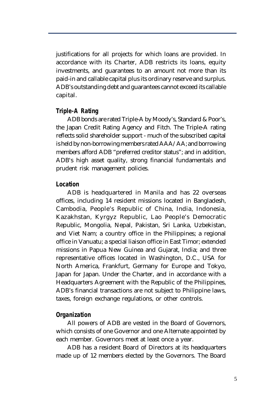justifications for all projects for which loans are provided. In accordance with its Charter, ADB restricts its loans, equity investments, and guarantees to an amount not more than its paid-in and callable capital plus its ordinary reserve and surplus. ADB's outstanding debt and guarantees cannot exceed its callable capital.

# **Triple-A Rating**

ADB bonds are rated Triple-A by Moody's, Standard & Poor's, the Japan Credit Rating Agency and Fitch. The Triple-A rating reflects solid shareholder support - much of the subscribed capital is held by non-borrowing members rated AAA/AA; and borrowing members afford ADB "preferred creditor status"; and in addition, ADB's high asset quality, strong financial fundamentals and prudent risk management policies.

# **Location**

ADB is headquartered in Manila and has 22 overseas offices, including 14 resident missions located in Bangladesh, Cambodia, People's Republic of China, India, Indonesia, Kazakhstan, Kyrgyz Republic, Lao People's Democratic Republic, Mongolia, Nepal, Pakistan, Sri Lanka, Uzbekistan, and Viet Nam; a country office in the Philippines; a regional office in Vanuatu; a special liaison office in East Timor; extended missions in Papua New Guinea and Gujarat, India; and three representative offices located in Washington, D.C., USA for North America, Frankfurt, Germany for Europe and Tokyo, Japan for Japan. Under the Charter, and in accordance with a Headquarters Agreement with the Republic of the Philippines, ADB's financial transactions are not subject to Philippine laws, taxes, foreign exchange regulations, or other controls.

# **Organization**

All powers of ADB are vested in the Board of Governors, which consists of one Governor and one Alternate appointed by each member. Governors meet at least once a year.

ADB has a resident Board of Directors at its headquarters made up of 12 members elected by the Governors. The Board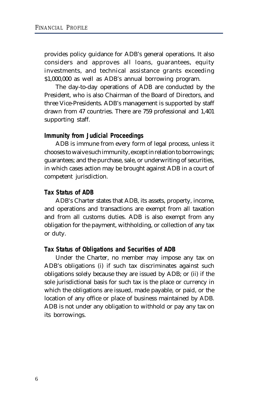provides policy guidance for ADB's general operations. It also considers and approves all loans, guarantees, equity investments, and technical assistance grants exceeding \$1,000,000 as well as ADB's annual borrowing program.

The day-to-day operations of ADB are conducted by the President, who is also Chairman of the Board of Directors, and three Vice-Presidents. ADB's management is supported by staff drawn from 47 countries. There are 759 professional and 1,401 supporting staff.

# **Immunity from Judicial Proceedings**

ADB is immune from every form of legal process, unless it chooses to waive such immunity, except in relation to borrowings; guarantees; and the purchase, sale, or underwriting of securities, in which cases action may be brought against ADB in a court of competent jurisdiction.

# **Tax Status of ADB**

ADB's Charter states that ADB, its assets, property, income, and operations and transactions are exempt from all taxation and from all customs duties. ADB is also exempt from any obligation for the payment, withholding, or collection of any tax or duty.

#### **Tax Status of Obligations and Securities of ADB**

Under the Charter, no member may impose any tax on ADB's obligations (i) if such tax discriminates against such obligations solely because they are issued by ADB; or (ii) if the sole jurisdictional basis for such tax is the place or currency in which the obligations are issued, made payable, or paid, or the location of any office or place of business maintained by ADB. ADB is not under any obligation to withhold or pay any tax on its borrowings.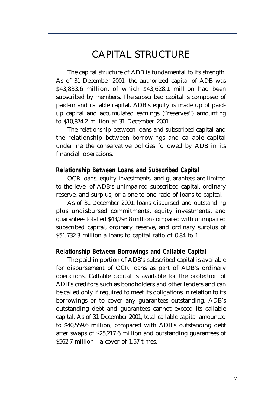# CAPITAL STRUCTURE

The capital structure of ADB is fundamental to its strength. As of 31 December 2001, the authorized capital of ADB was \$43,833.6 million, of which \$43,628.1 million had been subscribed by members. The subscribed capital is composed of paid-in and callable capital. ADB's equity is made up of paidup capital and accumulated earnings ("reserves") amounting to \$10,874.2 million at 31 December 2001.

The relationship between loans and subscribed capital and the relationship between borrowings and callable capital underline the conservative policies followed by ADB in its financial operations.

# **Relationship Between Loans and Subscribed Capital**

OCR loans, equity investments, and guarantees are limited to the level of ADB's unimpaired subscribed capital, ordinary reserve, and surplus, or a one-to-one ratio of loans to capital.

As of 31 December 2001, loans disbursed and outstanding plus undisbursed commitments, equity investments, and guarantees totalled \$43,293.8 million compared with unimpaired subscribed capital, ordinary reserve, and ordinary surplus of \$51,732.3 million-a loans to capital ratio of 0.84 to 1.

# **Relationship Between Borrowings and Callable Capital**

The paid-in portion of ADB's subscribed capital is available for disbursement of OCR loans as part of ADB's ordinary operations. Callable capital is available for the protection of ADB's creditors such as bondholders and other lenders and can be called only if required to meet its obligations in relation to its borrowings or to cover any guarantees outstanding. ADB's outstanding debt and guarantees cannot exceed its callable capital. As of 31 December 2001, total callable capital amounted to \$40,559.6 million, compared with ADB's outstanding debt after swaps of \$25,217.6 million and outstanding guarantees of \$562.7 million - a cover of 1.57 times.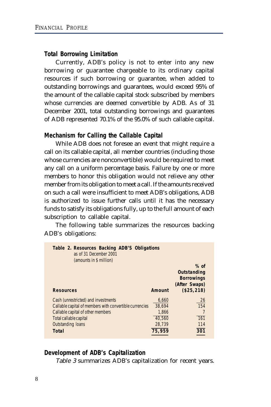# **Total Borrowing Limitation**

Currently, ADB's policy is not to enter into any new borrowing or guarantee chargeable to its ordinary capital resources if such borrowing or guarantee, when added to outstanding borrowings and guarantees, would exceed 95% of the amount of the callable capital stock subscribed by members whose currencies are deemed convertible by ADB. As of 31 December 2001, total outstanding borrowings and guarantees of ADB represented 70.1% of the 95.0% of such callable capital.

### **Mechanism for Calling the Callable Capital**

While ADB does not foresee an event that might require a call on its callable capital, all member countries (including those whose currencies are nonconvertible) would be required to meet any call on a uniform percentage basis. Failure by one or more members to honor this obligation would not relieve any other member from its obligation to meet a call. If the amounts received on such a call were insufficient to meet ADB's obligations, ADB is authorized to issue further calls until it has the necessary funds to satisfy its obligations fully, up to the full amount of each subscription to callable capital.

The following table summarizes the resources backing ADB's obligations:

| Table 2. Resources Backing ADB'S Obligations<br>as of 31 December 2001<br>(amounts in \$ million) |        |                                                             |
|---------------------------------------------------------------------------------------------------|--------|-------------------------------------------------------------|
|                                                                                                   |        | $%$ of<br>Outstanding<br><b>Borrowings</b><br>(After Swaps) |
| <b>Resources</b>                                                                                  | Amount | (\$25, 218)                                                 |
| Cash (unrestricted) and investments                                                               | 6,660  | 26                                                          |
| Callable capital of members with convertible currencies                                           | 38.694 | 154                                                         |
| Callable capital of other members                                                                 | 1,866  |                                                             |
| Total callable capital                                                                            | 40.560 | <b>161</b>                                                  |
| <b>Outstanding loans</b>                                                                          | 28,739 | 114                                                         |
| Total                                                                                             | 75,959 | 301                                                         |

### **Development of ADB's Capitalization**

Table 3 summarizes ADB's capitalization for recent years.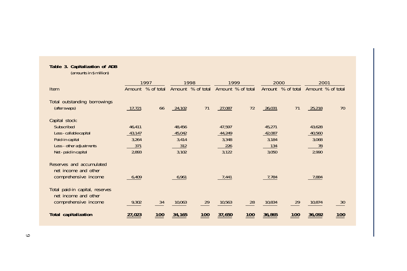#### **Table 3. Capitalization of ADB**

(amounts in \$ million)

|                                                                                                                                 |                                           | 1997                          |                                           | 1998       |                                           | 1999              |                                           | 2000                          |                                          | 2001                          |
|---------------------------------------------------------------------------------------------------------------------------------|-------------------------------------------|-------------------------------|-------------------------------------------|------------|-------------------------------------------|-------------------|-------------------------------------------|-------------------------------|------------------------------------------|-------------------------------|
| Item                                                                                                                            | Amount                                    | % of total                    | Amount                                    | % of total |                                           | Amount % of total | Amount                                    | % of total                    |                                          | Amount % of total             |
| Total outstanding borrowings<br>(after swaps)                                                                                   | 17,721                                    | 66                            | 24,102                                    | 71         | 27,087                                    | 72                | 26,031                                    | 71                            | 25,218                                   | 70                            |
| Capital stock:<br>Subscribed<br>Less - callable capital<br>Paid-in capital<br>Less - other adjustments<br>Net - paid in capital | 46,411<br>43,147<br>3,264<br>371<br>2,893 |                               | 48,456<br>45,042<br>3,414<br>312<br>3,102 |            | 47,597<br>44,249<br>3,348<br>226<br>3,122 |                   | 45,271<br>42,087<br>3,184<br>134<br>3,050 |                               | 43,628<br>40,560<br>3,068<br>78<br>2,990 |                               |
| Reserves and accumulated<br>net income and other<br>comprehensive income                                                        | 6,409                                     |                               | 6,961                                     |            | 7,441                                     |                   | 7,784                                     |                               | 7,884                                    |                               |
| Total paid-in capital, reserves<br>net income and other<br>comprehensive income                                                 | 9,302                                     | 34                            | 10,063                                    | 29         | 10,563                                    | 28                | 10,834                                    | 29                            | 10,874                                   | 30                            |
| <b>Total capitalization</b>                                                                                                     | 27,023                                    | $\underline{\underline{100}}$ | 34,165                                    | 100        | 37,650                                    | 100               | 36,865                                    | $\underline{\underline{100}}$ | 36,092                                   | $\underline{\underline{100}}$ |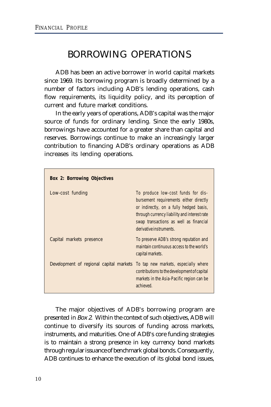# BORROWING OPERATIONS

ADB has been an active borrower in world capital markets since 1969. Its borrowing program is broadly determined by a number of factors including ADB's lending operations, cash flow requirements, its liquidity policy, and its perception of current and future market conditions.

In the early years of operations, ADB's capital was the major source of funds for ordinary lending. Since the early 1980s, borrowings have accounted for a greater share than capital and reserves. Borrowings continue to make an increasingly larger contribution to financing ADB's ordinary operations as ADB increases its lending operations.

| <b>Box 2: Borrowing Objectives</b>      |                                                                                                                                                                                                                                              |
|-----------------------------------------|----------------------------------------------------------------------------------------------------------------------------------------------------------------------------------------------------------------------------------------------|
| Low-cost funding                        | To produce low-cost funds for dis-<br>bursement requirements either directly<br>or indirectly, on a fully hedged basis,<br>through currency liability and interest rate<br>swap transactions as well as financial<br>derivative instruments. |
| Capital markets presence                | To preserve ADB's strong reputation and<br>maintain continuous access to the world's<br>capital markets.                                                                                                                                     |
| Development of regional capital markets | To tap new markets, especially where<br>contributions to the development of capital<br>markets in the Asia-Pacific region can be<br>achieved.                                                                                                |

The major objectives of ADB's borrowing program are presented in Box 2. Within the context of such objectives, ADB will continue to diversify its sources of funding across markets, instruments, and maturities. One of ADB's core funding strategies is to maintain a strong presence in key currency bond markets through regular issuance of benchmark global bonds. Consequently, ADB continues to enhance the execution of its global bond issues,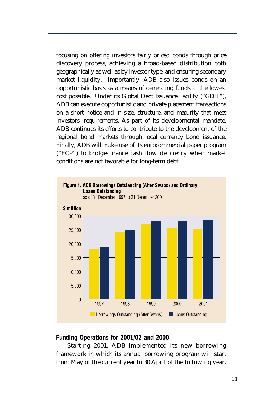focusing on offering investors fairly priced bonds through price discovery process, achieving a broad-based distribution both geographically as well as by investor type, and ensuring secondary market liquidity. Importantly, ADB also issues bonds on an opportunistic basis as a means of generating funds at the lowest cost possible. Under its Global Debt Issuance Facility ("GDIF"), ADB can execute opportunistic and private placement transactions on a short notice and in size, structure, and maturity that meet investors' requirements. As part of its developmental mandate, ADB continues its efforts to contribute to the development of the regional bond markets through local currency bond issuance. Finally, ADB will make use of its eurocommercial paper program ("ECP") to bridge-finance cash flow deficiency when market conditions are not favorable for long-term debt.



# **Funding Operations for 2001/02 and 2000**

Starting 2001, ADB implemented its new borrowing framework in which its annual borrowing program will start from May of the current year to 30 April of the following year.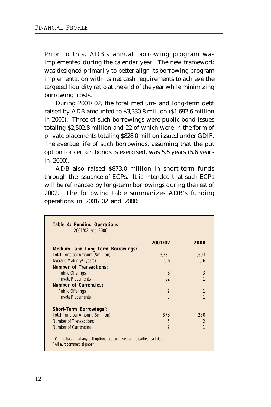Prior to this, ADB's annual borrowing program was implemented during the calendar year. The new framework was designed primarily to better align its borrowing program implementation with its net cash requirements to achieve the targeted liquidity ratio at the end of the year while minimizing borrowing costs.

During 2001/02, the total medium- and long-term debt raised by ADB amounted to \$3,330.8 million (\$1,692.6 million in 2000). Three of such borrowings were public bond issues totaling \$2,502.8 million and 22 of which were in the form of private placements totaling \$828.0 million issued under GDIF. The average life of such borrowings, assuming that the put option for certain bonds is exercised, was 5.6 years (5.6 years in 2000).

ADB also raised \$873.0 million in short-term funds through the issuance of ECPs. It is intended that such ECPs will be refinanced by long-term borrowings during the rest of 2002. The following table summarizes ADB's funding operations in 2001/02 and 2000:

|                                           | 2001/02        | 2000           |
|-------------------------------------------|----------------|----------------|
| Medium- and Long-Term Borrowings:         |                |                |
| <b>Total Principal Amount (\$million)</b> | 3.331          | 1.693          |
| Average Maturity <sup>1</sup> (years)     | 5.6            | 5.6            |
| Number of Transactions:                   |                |                |
| <b>Public Offerings</b>                   | 3              | 3              |
| <b>Private Placements</b>                 | 22             | 1              |
| <b>Number of Currencies:</b>              |                |                |
| <b>Public Offerings</b>                   | $\mathfrak{D}$ | 1              |
| <b>Private Placements</b>                 | 3              |                |
| Short-Term Borrowings <sup>2</sup> :      |                |                |
| <b>Total Principal Amount (\$million)</b> | 873            | 250            |
| <b>Number of Transactions</b>             | 5              | $\mathfrak{p}$ |
| Number of Currencies                      | $\mathfrak{p}$ | 1              |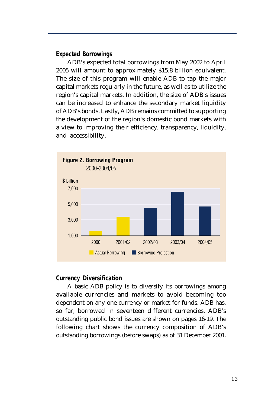# **Expected Borrowings**

ADB's expected total borrowings from May 2002 to April 2005 will amount to approximately \$15.8 billion equivalent. The size of this program will enable ADB to tap the major capital markets regularly in the future, as well as to utilize the region's capital markets. In addition, the size of ADB's issues can be increased to enhance the secondary market liquidity of ADB's bonds. Lastly, ADB remains committed to supporting the development of the region's domestic bond markets with a view to improving their efficiency, transparency, liquidity, and accessibility.



# **Currency Diversification**

A basic ADB policy is to diversify its borrowings among available currencies and markets to avoid becoming too dependent on any one currency or market for funds. ADB has, so far, borrowed in seventeen different currencies. ADB's outstanding public bond issues are shown on pages 16-19. The following chart shows the currency composition of ADB's outstanding borrowings (before swaps) as of 31 December 2001.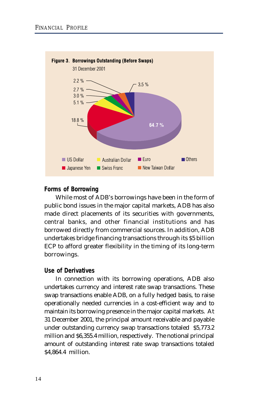

# **Forms of Borrowing**

While most of ADB's borrowings have been in the form of public bond issues in the major capital markets, ADB has also made direct placements of its securities with governments, central banks, and other financial institutions and has borrowed directly from commercial sources. In addition, ADB undertakes bridge financing transactions through its \$5 billion ECP to afford greater flexibility in the timing of its long-term borrowings.

# **Use of Derivatives**

In connection with its borrowing operations, ADB also undertakes currency and interest rate swap transactions. These swap transactions enable ADB, on a fully hedged basis, to raise operationally needed currencies in a cost-efficient way and to maintain its borrowing presence in the major capital markets. At 31 December 2001, the principal amount receivable and payable under outstanding currency swap transactions totaled \$5,773.2 million and \$6,355.4 million, respectively. The notional principal amount of outstanding interest rate swap transactions totaled \$4,864.4 million.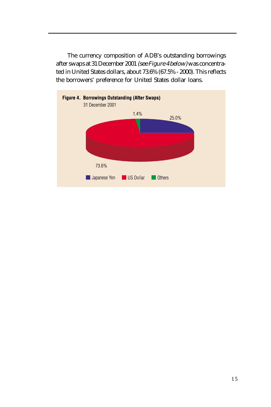The currency composition of ADB's outstanding borrowings after swaps at 31 December 2001 (see Figure 4 below) was concentrated in United States dollars, about 73.6% (67.5% - 2000). This reflects the borrowers' preference for United States dollar loans.

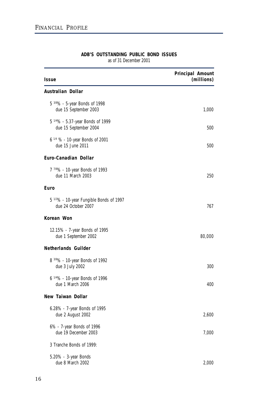| Issue                                                                      | Principal Amount<br>(millions) |
|----------------------------------------------------------------------------|--------------------------------|
| Australian Dollar                                                          |                                |
| 5 3/8% - 5-year Bonds of 1998<br>due 15 September 2003                     | 1,000                          |
| 5 1/4% - 5.37-year Bonds of 1999<br>due 15 September 2004                  | 500                            |
| 6 <sup>1/4</sup> % - 10-year Bonds of 2001<br>due 15 June 2011             | 500                            |
| Euro-Canadian Dollar                                                       |                                |
| 7 7/8% - 10-year Bonds of 1993<br>due 11 March 2003                        | 250                            |
| Euro                                                                       |                                |
| 5 <sup>1/2</sup> % - 10-year Fungible Bonds of 1997<br>due 24 October 2007 | 767                            |
| Korean Won                                                                 |                                |
| 12.15% - 7-year Bonds of 1995<br>due 1 September 2002                      | 80,000                         |
| Netherlands Guilder                                                        |                                |
| 8 3/8% - 10-year Bonds of 1992<br>due 3 July 2002                          | 300                            |
| $6^{1/4}\%$ - 10-year Bonds of 1996<br>due 1 March 2006                    | 400                            |
| New Taiwan Dollar                                                          |                                |
| 6.28% - 7-year Bonds of 1995<br>due 2 August 2002                          | 2,600                          |
| 6% - 7-year Bonds of 1996<br>due 19 December 2003                          | 7,000                          |
| 3 Tranche Bonds of 1999:                                                   |                                |
| 5.20% - 3-year Bonds<br>due 8 March 2002                                   | 2,000                          |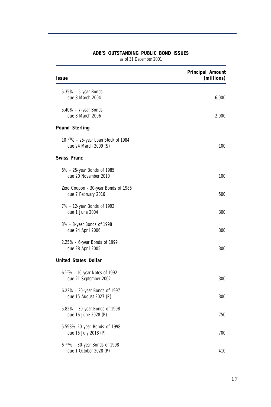| Issue                                                         | Principal Amount<br>(millions) |
|---------------------------------------------------------------|--------------------------------|
| 5.35% - 5-year Bonds<br>due 8 March 2004                      | 6,000                          |
| 5.40% - 7-year Bonds<br>due 8 March 2006                      | 2,000                          |
| <b>Pound Sterling</b>                                         |                                |
| 10 1/4% - 25-year Loan Stock of 1984<br>due 24 March 2009 (S) | 100                            |
| <b>Swiss Franc</b>                                            |                                |
| 6% - 25-year Bonds of 1985<br>due 20 November 2010            | 100                            |
| Zero Coupon - 30-year Bonds of 1986<br>due 7 February 2016    | 500                            |
| 7% - 12-year Bonds of 1992<br>due 1 June 2004                 | 300                            |
| 3% - 8-year Bonds of 1998<br>due 24 April 2006                | 300                            |
| 2.25% - 6-year Bonds of 1999<br>due 28 April 2005             | 300                            |
| <b>United States Dollar</b>                                   |                                |
| 6 1/2% - 10-year Notes of 1992<br>due 21 September 2002       | 300                            |
| 6.22% - 30-year Bonds of 1997<br>due 15 August 2027 (P)       | 300                            |
| 5.82% - 30-year Bonds of 1998<br>due 16 June 2028 (P)         | 750                            |
| 5.593%-20-year Bonds of 1998<br>due 16 July 2018 (P)          | 700                            |
| 6 3/8% - 30-year Bonds of 1998<br>due 1 October 2028 (P)      | 410                            |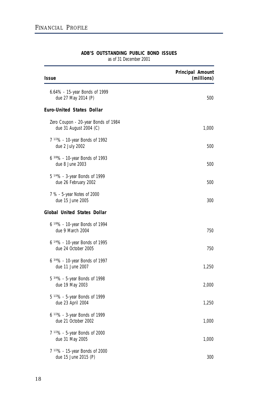| Issue                                                             | Principal Amount<br>(millions) |
|-------------------------------------------------------------------|--------------------------------|
| 6.64% - 15-year Bonds of 1999<br>due 27 May 2014 (P)              | 500                            |
| <b>Euro-United States Dollar</b>                                  |                                |
| Zero Coupon - 20-year Bonds of 1984<br>due 31 August 2004 (C)     | 1,000                          |
| 7 1/2% - 10-year Bonds of 1992<br>due 2 July 2002                 | 500                            |
| $6\frac{3}{8}\%$ - 10-year Bonds of 1993<br>due 8 June 2003       | 500                            |
| 5 1/4% - 3-year Bonds of 1999<br>due 26 February 2002             | 500                            |
| 7 % - 5-year Notes of 2000<br>due 15 June 2005                    | 300                            |
| <b>Global United States Dollar</b>                                |                                |
| 6 <sup>1/8</sup> % - 10-year Bonds of 1994<br>due 9 March 2004    | 750                            |
| 6 <sup>1/4</sup> % - 10-year Bonds of 1995<br>due 24 October 2005 | 750                            |
| 6 3/4% - 10-year Bonds of 1997<br>due 11 June 2007                | 1,250                          |
| 5 3/4% - 5-year Bonds of 1998<br>due 19 May 2003                  | 2,000                          |
| $5^{1/2}\%$ - 5-year Bonds of 1999<br>due 23 April 2004           | 1,250                          |
| 6 <sup>1/2</sup> % - 3-year Bonds of 1999<br>due 21 October 2002  | 1,000                          |
| 7 1/2% - 5-year Bonds of 2000<br>due 31 May 2005                  | 1,000                          |
| 7 1/2% - 15-year Bonds of 2000<br>due 15 June 2015 (P)            | 300                            |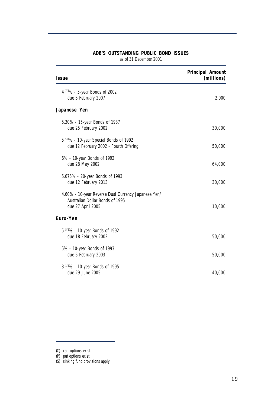| Issue                                                                                                       | Principal Amount<br>(millions) |
|-------------------------------------------------------------------------------------------------------------|--------------------------------|
| 4 7/8% - 5-year Bonds of 2002<br>due 5 February 2007                                                        | 2,000                          |
| Japanese Yen                                                                                                |                                |
| 5.30% - 15-year Bonds of 1987<br>due 25 February 2002                                                       | 30,000                         |
| 5 5/8% - 10-year Special Bonds of 1992<br>due 12 February 2002 - Fourth Offering                            | 50,000                         |
| 6% - 10-year Bonds of 1992<br>due 28 May 2002                                                               | 64,000                         |
| 5.675% - 20-year Bonds of 1993<br>due 12 February 2013                                                      | 30,000                         |
| 4.60% - 10-year Reverse Dual Currency Japanese Yen/<br>Australian Dollar Bonds of 1995<br>due 27 April 2005 | 10,000                         |
| Euro-Yen                                                                                                    |                                |
| 5 5/8% - 10-year Bonds of 1992<br>due 18 February 2002                                                      | 50,000                         |
| 5% - 10-year Bonds of 1993<br>due 5 February 2003                                                           | 50,000                         |
| 3 <sup>1/8</sup> % - 10-year Bonds of 1995<br>due 29 June 2005                                              | 40,000                         |

<sup>(</sup>C) call options exist.

<sup>(</sup>P) put options exist.

<sup>(</sup>S) sinking fund provisions apply.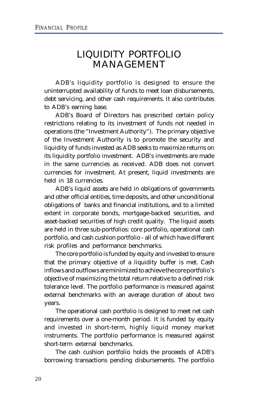# LIQUIDITY PORTFOLIO MANAGEMENT

ADB's liquidity portfolio is designed to ensure the uninterrupted availability of funds to meet loan disbursements, debt servicing, and other cash requirements. It also contributes to ADB's earning base.

ADB's Board of Directors has prescribed certain policy restrictions relating to its investment of funds not needed in operations (the "Investment Authority"). The primary objective of the Investment Authority is to promote the security and liquidity of funds invested as ADB seeks to maximize returns on its liquidity portfolio investment. ADB's investments are made in the same currencies as received. ADB does not convert currencies for investment. At present, liquid investments are held in 18 currencies.

ADB's liquid assets are held in obligations of governments and other official entities, time deposits, and other unconditional obligations of banks and financial institutions, and to a limited extent in corporate bonds, mortgage-backed securities, and asset-backed securities of high credit quality. The liquid assets are held in three sub-portfolios: core portfolio, operational cash portfolio, and cash cushion portfolio - all of which have different risk profiles and performance benchmarks.

The core portfolio is funded by equity and invested to ensure that the primary objective of a liquidity buffer is met. Cash inflows and outflows are minimized to achieve the core portfolio's objective of maximizing the total return relative to a defined risk tolerance level. The portfolio performance is measured against external benchmarks with an average duration of about two years.

The operational cash portfolio is designed to meet net cash requirements over a one-month period. It is funded by equity and invested in short-term, highly liquid money market instruments. The portfolio performance is measured against short-term external benchmarks.

The cash cushion portfolio holds the proceeds of ADB's borrowing transactions pending disbursements. The portfolio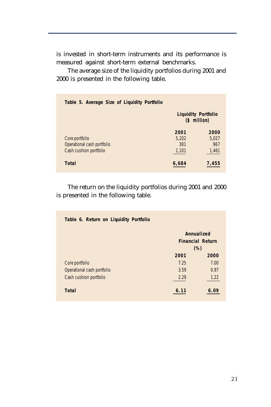is invested in short-term instruments and its performance is measured against short-term external benchmarks.

The average size of the liquidity portfolios during 2001 and 2000 is presented in the following table.

| Table 5. Average Size of Liquidity Portfolio |       |                                             |
|----------------------------------------------|-------|---------------------------------------------|
|                                              |       | <b>Liquidity Portfolio</b><br>$(5 million)$ |
|                                              | 2001  | 2000                                        |
| Core portfolio                               | 5,202 | 5,027                                       |
| Operational cash portfolio                   | 381   | 967                                         |
| Cash cushion portfolio                       | 1,101 | 1,461                                       |
| Total                                        | 6,684 | 7,455                                       |

The return on the liquidity portfolios during 2001 and 2000 is presented in the following table.

| Table 6. Return on Liquidity Portfolio |      |                                       |
|----------------------------------------|------|---------------------------------------|
|                                        |      | Annualized<br><b>Financial Return</b> |
|                                        |      | (%)                                   |
|                                        | 2001 | 2000                                  |
| Core portfolio                         | 7.25 | 7.00                                  |
| Operational cash portfolio             | 3.59 | 0.97                                  |
| Cash cushion portfolio                 | 2.29 | 1.22                                  |
| <b>Total</b>                           | 6.11 | 6.09                                  |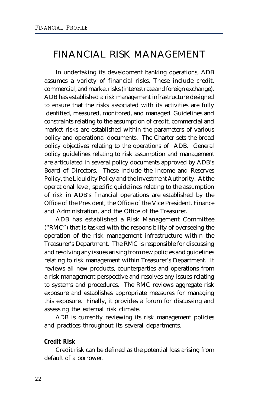# FINANCIAL RISK MANAGEMENT

In undertaking its development banking operations, ADB assumes a variety of financial risks. These include credit, commercial, and market risks (interest rate and foreign exchange). ADB has established a risk management infrastructure designed to ensure that the risks associated with its activities are fully identified, measured, monitored, and managed. Guidelines and constraints relating to the assumption of credit, commercial and market risks are established within the parameters of various policy and operational documents. The Charter sets the broad policy objectives relating to the operations of ADB. General policy guidelines relating to risk assumption and management are articulated in several policy documents approved by ADB's Board of Directors. These include the Income and Reserves Policy, the Liquidity Policy and the Investment Authority. At the operational level, specific guidelines relating to the assumption of risk in ADB's financial operations are established by the Office of the President, the Office of the Vice President, Finance and Administration, and the Office of the Treasurer.

ADB has established a Risk Management Committee ("RMC") that is tasked with the responsibility of overseeing the operation of the risk management infrastructure within the Treasurer's Department. The RMC is responsible for discussing and resolving any issues arising from new policies and guidelines relating to risk management within Treasurer's Department. It reviews all new products, counterparties and operations from a risk management perspective and resolves any issues relating to systems and procedures. The RMC reviews aggregate risk exposure and establishes appropriate measures for managing this exposure. Finally, it provides a forum for discussing and assessing the external risk climate.

ADB is currently reviewing its risk management policies and practices throughout its several departments.

# **Credit Risk**

Credit risk can be defined as the potential loss arising from default of a borrower.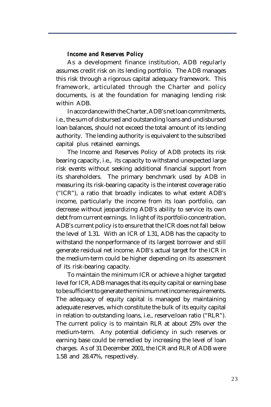#### *Income and Reserves Policy*

As a development finance institution, ADB regularly assumes credit risk on its lending portfolio. The ADB manages this risk through a rigorous capital adequacy framework. This framework, articulated through the Charter and policy documents, is at the foundation for managing lending risk within ADB.

In accordance with the Charter, ADB's net loan commitments, i.e., the sum of disbursed and outstanding loans and undisbursed loan balances, should not exceed the total amount of its lending authority. The lending authority is equivalent to the subscribed capital plus retained earnings.

The Income and Reserves Policy of ADB protects its risk bearing capacity, i.e., its capacity to withstand unexpected large risk events without seeking additional financial support from its shareholders. The primary benchmark used by ADB in measuring its risk-bearing capacity is the interest coverage ratio ("ICR"), a ratio that broadly indicates to what extent ADB's income, particularly the income from its loan portfolio, can decrease without jeopardizing ADB's ability to service its own debt from current earnings. In light of its portfolio concentration, ADB's current policy is to ensure that the ICR does not fall below the level of 1.31. With an ICR of 1.31, ADB has the capacity to withstand the nonperformance of its largest borrower and still generate residual net income. ADB's actual target for the ICR in the medium-term could be higher depending on its assessment of its risk-bearing capacity.

To maintain the minimum ICR or achieve a higher targeted level for ICR, ADB manages that its equity capital or earning base to be sufficient to generate the minimum net income requirements. The adequacy of equity capital is managed by maintaining adequate reserves, which constitute the bulk of its equity capital in relation to outstanding loans, i.e., reserve:loan ratio ("RLR"). The current policy is to maintain RLR at about 25% over the medium-term. Any potential deficiency in such reserves or earning base could be remedied by increasing the level of loan charges. As of 31 December 2001, the ICR and RLR of ADB were 1.58 and 28.47%, respectively.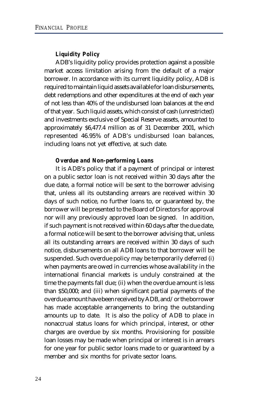# *Liquidity Policy*

ADB's liquidity policy provides protection against a possible market access limitation arising from the default of a major borrower. In accordance with its current liquidity policy, ADB is required to maintain liquid assets available for loan disbursements, debt redemptions and other expenditures at the end of each year of not less than 40% of the undisbursed loan balances at the end of that year. Such liquid assets, which consist of cash (unrestricted) and investments exclusive of Special Reserve assets, amounted to approximately \$6,477.4 million as of 31 December 2001, which represented 46.95% of ADB's undisbursed loan balances, including loans not yet effective, at such date.

#### *Overdue and Non-performing Loans*

It is ADB's policy that if a payment of principal or interest on a public sector loan is not received within 30 days after the due date, a formal notice will be sent to the borrower advising that, unless all its outstanding arrears are received within 30 days of such notice, no further loans to, or guaranteed by, the borrower will be presented to the Board of Directors for approval nor will any previously approved loan be signed. In addition, if such payment is not received within 60 days after the due date, a formal notice will be sent to the borrower advising that, unless all its outstanding arrears are received within 30 days of such notice, disbursements on all ADB loans to that borrower will be suspended. Such overdue policy may be temporarily deferred (i) when payments are owed in currencies whose availability in the international financial markets is unduly constrained at the time the payments fall due; (ii) when the overdue amount is less than \$50,000; and (iii) when significant partial payments of the overdue amount have been received by ADB, and/or the borrower has made acceptable arrangements to bring the outstanding amounts up to date. It is also the policy of ADB to place in nonaccrual status loans for which principal, interest, or other charges are overdue by six months. Provisioning for possible loan losses may be made when principal or interest is in arrears for one year for public sector loans made to or guaranteed by a member and six months for private sector loans.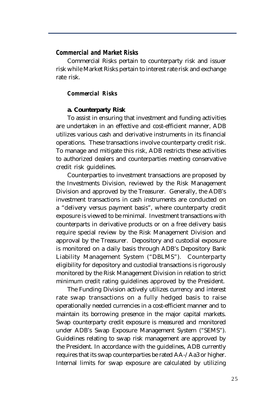# **Commercial and Market Risks**

Commercial Risks pertain to counterparty risk and issuer risk while Market Risks pertain to interest rate risk and exchange rate risk.

#### *Commercial Risks*

#### **a. Counterparty Risk**

To assist in ensuring that investment and funding activities are undertaken in an effective and cost-efficient manner, ADB utilizes various cash and derivative instruments in its financial operations. These transactions involve counterparty credit risk. To manage and mitigate this risk, ADB restricts these activities to authorized dealers and counterparties meeting conservative credit risk guidelines.

Counterparties to investment transactions are proposed by the Investments Division, reviewed by the Risk Management Division and approved by the Treasurer. Generally, the ADB's investment transactions in cash instruments are conducted on a "delivery versus payment basis", where counterparty credit exposure is viewed to be minimal. Investment transactions with counterparts in derivative products or on a free delivery basis require special review by the Risk Management Division and approval by the Treasurer. Depository and custodial exposure is monitored on a daily basis through ADB's Depository Bank Liability Management System ("DBLMS"). Counterparty eligibility for depository and custodial transactions is rigorously monitored by the Risk Management Division in relation to strict minimum credit rating guidelines approved by the President.

The Funding Division actively utilizes currency and interest rate swap transactions on a fully hedged basis to raise operationally needed currencies in a cost-efficient manner and to maintain its borrowing presence in the major capital markets. Swap counterparty credit exposure is measured and monitored under ADB's Swap Exposure Management System ("SEMS"). Guidelines relating to swap risk management are approved by the President. In accordance with the guidelines, ADB currently requires that its swap counterparties be rated AA-/Aa3 or higher. Internal limits for swap exposure are calculated by utilizing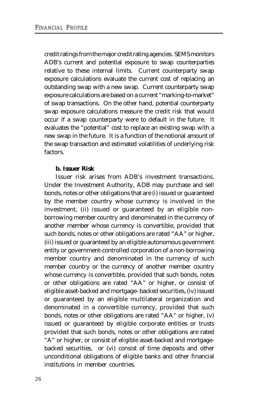credit ratings from the major credit rating agencies. SEMS monitors ADB's current and potential exposure to swap counterparties relative to these internal limits. Current counterparty swap exposure calculations evaluate the current cost of replacing an outstanding swap with a new swap. Current counterparty swap exposure calculations are based on a current "marking-to-market" of swap transactions. On the other hand, potential counterparty swap exposure calculations measure the credit risk that would occur if a swap counterparty were to default in the future. It evaluates the "potential" cost to replace an existing swap with a new swap in the future. It is a function of the notional amount of the swap transaction and estimated volatilities of underlying risk factors.

### **b. Issuer Risk**

Issuer risk arises from ADB's investment transactions. Under the Investment Authority, ADB may purchase and sell bonds, notes or other obligations that are (i) issued or guaranteed by the member country whose currency is involved in the investment, (ii) issued or guaranteed by an eligible nonborrowing member country and denominated in the currency of another member whose currency is convertible, provided that such bonds, notes or other obligations are rated "AA" or higher, (iii) issued or guaranteed by an eligible autonomous government entity or government-controlled corporation of a non-borrowing member country and denominated in the currency of such member country or the currency of another member country whose currency is convertible, provided that such bonds, notes or other obligations are rated "AA" or higher, or consist of eligible asset-backed and mortgage- backed securities, (iv) issued or guaranteed by an eligible multilateral organization and denominated in a convertible currency, provided that such bonds, notes or other obligations are rated "AA" or higher, (v) issued or guaranteed by eligible corporate entities or trusts provided that such bonds, notes or other obligations are rated "A" or higher, or consist of eligible asset-backed and mortgagebacked securities, or (vi) consist of time deposits and other unconditional obligations of eligible banks and other financial institutions in member countries.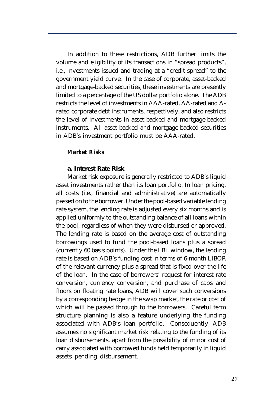In addition to these restrictions, ADB further limits the volume and eligibility of its transactions in "spread products", i.e., investments issued and trading at a "credit spread" to the government yield curve. In the case of corporate, asset-backed and mortgage-backed securities, these investments are presently limited to a percentage of the US dollar portfolio alone. The ADB restricts the level of investments in AAA-rated, AA-rated and Arated corporate debt instruments, respectively, and also restricts the level of investments in asset-backed and mortgage-backed instruments. All asset-backed and mortgage-backed securities in ADB's investment portfolio must be AAA-rated.

# *Market Risks*

### **a. Interest Rate Risk**

Market risk exposure is generally restricted to ADB's liquid asset investments rather than its loan portfolio. In loan pricing, all costs (i.e., financial and administrative) are automatically passed on to the borrower. Under the pool-based variable lending rate system, the lending rate is adjusted every six months and is applied uniformly to the outstanding balance of all loans within the pool, regardless of when they were disbursed or approved. The lending rate is based on the average cost of outstanding borrowings used to fund the pool-based loans plus a spread (currently 60 basis points). Under the LBL window, the lending rate is based on ADB's funding cost in terms of 6-month LIBOR of the relevant currency plus a spread that is fixed over the life of the loan. In the case of borrowers' request for interest rate conversion, currency conversion, and purchase of caps and floors on floating rate loans, ADB will cover such conversions by a corresponding hedge in the swap market, the rate or cost of which will be passed through to the borrowers. Careful term structure planning is also a feature underlying the funding associated with ADB's loan portfolio. Consequently, ADB assumes no significant market risk relating to the funding of its loan disbursements, apart from the possibility of minor cost of carry associated with borrowed funds held temporarily in liquid assets pending disbursement.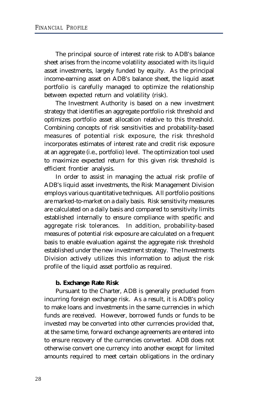The principal source of interest rate risk to ADB's balance sheet arises from the income volatility associated with its liquid asset investments, largely funded by equity. As the principal income-earning asset on ADB's balance sheet, the liquid asset portfolio is carefully managed to optimize the relationship between expected return and volatility (risk).

The Investment Authority is based on a new investment strategy that identifies an aggregate portfolio risk threshold and optimizes portfolio asset allocation relative to this threshold. Combining concepts of risk sensitivities and probability-based measures of potential risk exposure, the risk threshold incorporates estimates of interest rate and credit risk exposure at an aggregate (i.e., portfolio) level. The optimization tool used to maximize expected return for this given risk threshold is efficient frontier analysis.

In order to assist in managing the actual risk profile of ADB's liquid asset investments, the Risk Management Division employs various quantitative techniques. All portfolio positions are marked-to-market on a daily basis. Risk sensitivity measures are calculated on a daily basis and compared to sensitivity limits established internally to ensure compliance with specific and aggregate risk tolerances. In addition, probability-based measures of potential risk exposure are calculated on a frequent basis to enable evaluation against the aggregate risk threshold established under the new investment strategy. The Investments Division actively utilizes this information to adjust the risk profile of the liquid asset portfolio as required.

# **b. Exchange Rate Risk**

Pursuant to the Charter, ADB is generally precluded from incurring foreign exchange risk. As a result, it is ADB's policy to make loans and investments in the same currencies in which funds are received. However, borrowed funds or funds to be invested may be converted into other currencies provided that, at the same time, forward exchange agreements are entered into to ensure recovery of the currencies converted. ADB does not otherwise convert one currency into another except for limited amounts required to meet certain obligations in the ordinary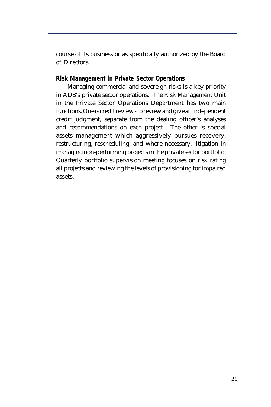course of its business or as specifically authorized by the Board of Directors.

# **Risk Management in Private Sector Operations**

Managing commercial and sovereign risks is a key priority in ADB's private sector operations. The Risk Management Unit in the Private Sector Operations Department has two main functions. One is credit review - to review and give an independent credit judgment, separate from the dealing officer's analyses and recommendations on each project. The other is special assets management which aggressively pursues recovery, restructuring, rescheduling, and where necessary, litigation in managing non-performing projects in the private sector portfolio. Quarterly portfolio supervision meeting focuses on risk rating all projects and reviewing the levels of provisioning for impaired assets.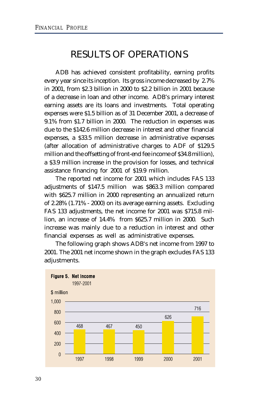# RESULTS OF OPERATIONS

ADB has achieved consistent profitability, earning profits every year since its inception. Its gross income decreased by 2.7% in 2001, from \$2.3 billion in 2000 to \$2.2 billion in 2001 because of a decrease in loan and other income. ADB's primary interest earning assets are its loans and investments. Total operating expenses were \$1.5 billion as of 31 December 2001, a decrease of 9.1% from \$1.7 billion in 2000. The reduction in expenses was due to the \$142.6 million decrease in interest and other financial expenses, a \$33.5 million decrease in administrative expenses (after allocation of administrative charges to ADF of \$129.5 million and the offsetting of front-end fee income of \$34.8 million), a \$3.9 million increase in the provision for losses, and technical assistance financing for 2001 of \$19.9 million.

The reported net income for 2001 which includes FAS 133 adjustments of \$147.5 million was \$863.3 million compared with \$625.7 million in 2000 representing an annualized return of 2.28% (1.71% - 2000) on its average earning assets. Excluding FAS 133 adjustments, the net income for 2001 was \$715.8 million, an increase of 14.4% from \$625.7 million in 2000. Such increase was mainly due to a reduction in interest and other financial expenses as well as administrative expenses.

The following graph shows ADB's net income from 1997 to 2001. The 2001 net income shown in the graph excludes FAS 133 adjustments.

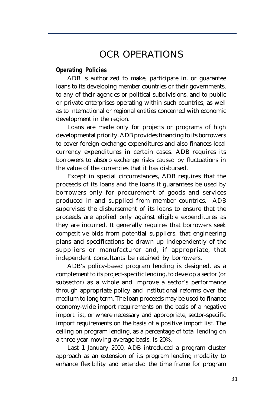# OCR OPERATIONS

### **Operating Policies**

ADB is authorized to make, participate in, or guarantee loans to its developing member countries or their governments, to any of their agencies or political subdivisions, and to public or private enterprises operating within such countries, as well as to international or regional entities concerned with economic development in the region.

Loans are made only for projects or programs of high developmental priority. ADB provides financing to its borrowers to cover foreign exchange expenditures and also finances local currency expenditures in certain cases. ADB requires its borrowers to absorb exchange risks caused by fluctuations in the value of the currencies that it has disbursed.

Except in special circumstances, ADB requires that the proceeds of its loans and the loans it guarantees be used by borrowers only for procurement of goods and services produced in and supplied from member countries. ADB supervises the disbursement of its loans to ensure that the proceeds are applied only against eligible expenditures as they are incurred. It generally requires that borrowers seek competitive bids from potential suppliers, that engineering plans and specifications be drawn up independently of the suppliers or manufacturer and, if appropriate, that independent consultants be retained by borrowers.

ADB's policy-based program lending is designed, as a complement to its project-specific lending, to develop a sector (or subsector) as a whole and improve a sector's performance through appropriate policy and institutional reforms over the medium to long term. The loan proceeds may be used to finance economy-wide import requirements on the basis of a negative import list, or where necessary and appropriate, sector-specific import requirements on the basis of a positive import list. The ceiling on program lending, as a percentage of total lending on a three-year moving average basis, is 20%.

Last 1 January 2000, ADB introduced a program cluster approach as an extension of its program lending modality to enhance flexibility and extended the time frame for program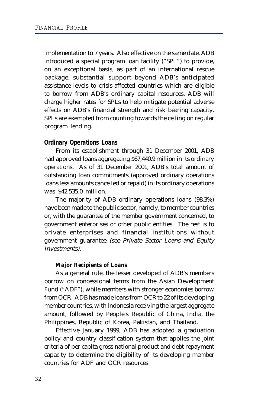implementation to 7 years. Also effective on the same date, ADB introduced a special program loan facility ("SPL") to provide, on an exceptional basis, as part of an international rescue package, substantial support beyond ADB's anticipated assistance levels to crisis-affected countries which are eligible to borrow from ADB's ordinary capital resources. ADB will charge higher rates for SPLs to help mitigate potential adverse effects on ADB's financial strength and risk bearing capacity. SPLs are exempted from counting towards the ceiling on regular program lending.

# **Ordinary Operations Loans**

From its establishment through 31 December 2001, ADB had approved loans aggregating \$67,440.9 million in its ordinary operations. As of 31 December 2001, ADB's total amount of outstanding loan commitments (approved ordinary operations loans less amounts cancelled or repaid) in its ordinary operations was \$42,535.0 million.

The majority of ADB ordinary operations loans (98.3%) have been made to the public sector, namely, to member countries or, with the guarantee of the member government concerned, to government enterprises or other public entities. The rest is to private enterprises and financial institutions without government guarantee (see Private Sector Loans and Equity Investments).

### *Major Recipients of Loans*

As a general rule, the lesser developed of ADB's members borrow on concessional terms from the Asian Development Fund ("ADF"), while members with stronger economies borrow from OCR. ADB has made loans from OCR to 22 of its developing member countries, with Indonesia receiving the largest aggregate amount, followed by People's Republic of China, India, the Philippines, Republic of Korea, Pakistan, and Thailand.

Effective January 1999, ADB has adopted a graduation policy and country classification system that applies the joint criteria of per capita gross national product and debt repayment capacity to determine the eligibility of its developing member countries for ADF and OCR resources.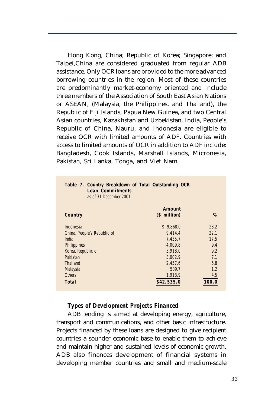Hong Kong, China; Republic of Korea; Singapore; and Taipei,China are considered graduated from regular ADB assistance. Only OCR loans are provided to the more advanced borrowing countries in the region. Most of these countries are predominantly market-economy oriented and include three members of the Association of South East Asian Nations or ASEAN, (Malaysia, the Philippines, and Thailand), the Republic of Fiji Islands, Papua New Guinea, and two Central Asian countries, Kazakhstan and Uzbekistan. India, People's Republic of China, Nauru, and Indonesia are eligible to receive OCR with limited amounts of ADF. Countries with access to limited amounts of OCR in addition to ADF include: Bangladesh, Cook Islands, Marshall Islands, Micronesia, Pakistan, Sri Lanka, Tonga, and Viet Nam.

| Table 7. Country Breakdown of Total Outstanding OCR<br><b>Loan Commitments</b><br>as of 31 December 2001 |              |       |
|----------------------------------------------------------------------------------------------------------|--------------|-------|
|                                                                                                          | Amount       |       |
| Country                                                                                                  | $$$ million) | %     |
| Indonesia                                                                                                | \$9.868.0    | 23.2  |
| China, People's Republic of                                                                              | 9.414.4      | 22.1  |
| India                                                                                                    | 7,435.7      | 17.5  |
| Philippines                                                                                              | 4.009.8      | 9.4   |
| Korea, Republic of                                                                                       | 3,918.0      | 9.2   |
| Pakistan                                                                                                 | 3.002.9      | 7.1   |
| Thailand                                                                                                 | 2.457.6      | 5.8   |
| Malaysia                                                                                                 | 509.7        | 1.2   |
| Others                                                                                                   | 1,918.9      | 4.5   |
| <b>Total</b>                                                                                             | \$42,535.0   | 100.0 |

# *Types of Development Projects Financed*

ADB lending is aimed at developing energy, agriculture, transport and communications, and other basic infrastructure. Projects financed by these loans are designed to give recipient countries a sounder economic base to enable them to achieve and maintain higher and sustained levels of economic growth. ADB also finances development of financial systems in developing member countries and small and medium-scale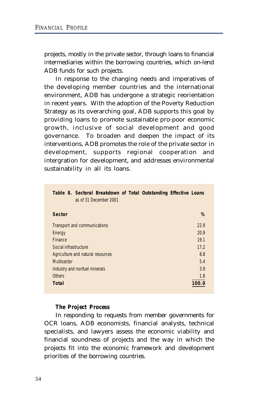projects, mostly in the private sector, through loans to financial intermediaries within the borrowing countries, which on-lend ADB funds for such projects.

In response to the changing needs and imperatives of the developing member countries and the international environment, ADB has undergone a strategic reorientation in recent years. With the adoption of the Poverty Reduction Strategy as its overarching goal, ADB supports this goal by providing loans to promote sustainable pro-poor economic growth, inclusive of social development and good governance. To broaden and deepen the impact of its interventions, ADB promotes the role of the private sector in development, supports regional cooperation and intergration for development, and addresses environmental sustainability in all its loans.

| Table 8. Sectoral Breakdown of Total Outstanding Effective Loans<br>as of 31 December 2001 |       |
|--------------------------------------------------------------------------------------------|-------|
| <b>Sector</b>                                                                              | %     |
| Transport and communications                                                               | 22.9  |
| Energy                                                                                     | 20.9  |
| <b>Finance</b>                                                                             | 19.1  |
| Social infrastructure                                                                      | 17.2  |
| Agriculture and natural resources                                                          | 8.8   |
| <b>Multisector</b>                                                                         | 5.4   |
| Industry and nonfuel minerals                                                              | 3.9   |
| <b>Others</b>                                                                              | 1.8   |
| Total                                                                                      | 100.0 |

### *The Project Process*

In responding to requests from member governments for OCR loans, ADB economists, financial analysts, technical specialists, and lawyers assess the economic viability and financial soundness of projects and the way in which the projects fit into the economic framework and development priorities of the borrowing countries.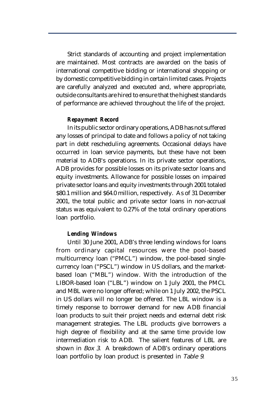Strict standards of accounting and project implementation are maintained. Most contracts are awarded on the basis of international competitive bidding or international shopping or by domestic competitive bidding in certain limited cases. Projects are carefully analyzed and executed and, where appropriate, outside consultants are hired to ensure that the highest standards of performance are achieved throughout the life of the project.

#### *Repayment Record*

In its public sector ordinary operations, ADB has not suffered any losses of principal to date and follows a policy of not taking part in debt rescheduling agreements. Occasional delays have occurred in loan service payments, but these have not been material to ADB's operations. In its private sector operations, ADB provides for possible losses on its private sector loans and equity investments. Allowance for possible losses on impaired private sector loans and equity investments through 2001 totaled \$80.1 million and \$64.0 million, respectively. As of 31 December 2001, the total public and private sector loans in non-accrual status was equivalent to 0.27% of the total ordinary operations loan portfolio.

#### *Lending Windows*

Until 30 June 2001, ADB's three lending windows for loans from ordinary capital resources were the pool-based multicurrency loan ("PMCL") window, the pool-based singlecurrency loan ("PSCL") window in US dollars, and the marketbased loan ("MBL") window. With the introduction of the LIBOR-based loan ("LBL") window on 1 July 2001, the PMCL and MBL were no longer offered; while on 1 July 2002, the PSCL in US dollars will no longer be offered. The LBL window is a timely response to borrower demand for new ADB financial loan products to suit their project needs and external debt risk management strategies. The LBL products give borrowers a high degree of flexibility and at the same time provide low intermediation risk to ADB. The salient features of LBL are shown in Box 3. A breakdown of ADB's ordinary operations loan portfolio by loan product is presented in Table 9.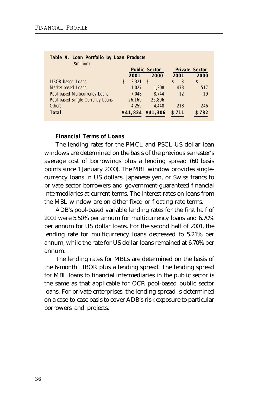| $10010$ $11$ $20011$ $10110110$ $N$ $100011$ $10000010$<br>(\$million) |                      |          |   |          |                       |       |    |       |
|------------------------------------------------------------------------|----------------------|----------|---|----------|-----------------------|-------|----|-------|
|                                                                        | <b>Public Sector</b> |          |   |          | <b>Private Sector</b> |       |    |       |
|                                                                        |                      | 2001     |   | 2000     |                       | 2001  |    | 2000  |
| <b>LIBOR-based Loans</b>                                               | \$                   | 3.321    | S |          | S                     | 8     | \$ |       |
| Market-based Loans                                                     |                      | 1.027    |   | 1.308    |                       | 473   |    | 517   |
| Pool-based Multicurrency Loans                                         |                      | 7.048    |   | 8.744    |                       | 12    |    | 19    |
| Pool-based Single Currency Loans                                       |                      | 26,169   |   | 26.806   |                       |       |    |       |
| <b>Others</b>                                                          |                      | 4.259    |   | 4.448    |                       | 218   |    | 246   |
| <b>Total</b>                                                           |                      | \$41,824 |   | \$41,306 |                       | \$711 |    | \$782 |

# **Table 9. Loan Portfolio by Loan Products**

# *Financial Terms of Loans*

The lending rates for the PMCL and PSCL US dollar loan windows are determined on the basis of the previous semester's average cost of borrowings plus a lending spread (60 basis points since 1 January 2000). The MBL window provides singlecurrency loans in US dollars, Japanese yen, or Swiss francs to private sector borrowers and government-guaranteed financial intermediaries at current terms. The interest rates on loans from the MBL window are on either fixed or floating rate terms.

ADB's pool-based variable lending rates for the first half of 2001 were 5.50% per annum for multicurrency loans and 6.70% per annum for US dollar loans. For the second half of 2001, the lending rate for multicurrency loans decreased to 5.21% per annum, while the rate for US dollar loans remained at 6.70% per annum.

The lending rates for MBLs are determined on the basis of the 6-month LIBOR plus a lending spread. The lending spread for MBL loans to financial intermediaries in the public sector is the same as that applicable for OCR pool-based public sector loans. For private enterprises, the lending spread is determined on a case-to-case basis to cover ADB's risk exposure to particular borrowers and projects.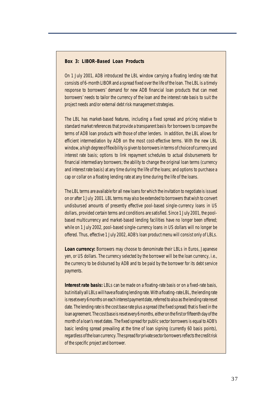#### **Box 3: LIBOR-Based Loan Products**

On 1 July 2001, ADB introduced the LBL window carrying a floating lending rate that consists of 6-month LIBOR and a spread fixed over the life of the loan. The LBL is a timely response to borrowers' demand for new ADB financial loan products that can meet borrowers' needs to tailor the currency of the loan and the interest rate basis to suit the project needs and/or external debt risk management strategies.

The LBL has market-based features, including a fixed spread and pricing relative to standard market references that provide a transparent basis for borrowers to compare the terms of ADB loan products with those of other lenders. In addition, the LBL allows for efficient intermediation by ADB on the most cost-effective terms. With the new LBL window, a high degree of flexibility is given to borrowers in terms of choice of currency and interest rate basis; options to link repayment schedules to actual disbursements for financial intermediary borrowers; the ability to change the original loan terms (currency and interest rate basis) at any time during the life of the loans; and options to purchase a cap or collar on a floating lending rate at any time during the life of the loans.

The LBL terms are available for all new loans for which the invitation to negotiate is issued on or after 1 July 2001. LBL terms may also be extended to borrowers that wish to convert undisbursed amounts of presently effective pool-based single-currency loans in US dollars, provided certain terms and conditions are satisfied. Since 1 July 2001, the poolbased multicurrency and market-based lending facilities have no longer been offered; while on 1 July 2002, pool-based single-currency loans in US dollars will no longer be offered. Thus, effective 1 July 2002, ADB's loan product menu will consist only of LBLs.

**Loan currency:** Borrowers may choose to denominate their LBLs in Euros, Japanese yen, or US dollars. The currency selected by the borrower will be the loan currency, i.e., the currency to be disbursed by ADB and to be paid by the borrower for its debt service payments.

**Interest rate basis:** LBLs can be made on a floating-rate basis or on a fixed-rate basis, but initially all LBLs will have a floating lending rate. With a floating-rate LBL, the lending rate is reset every 6 months on each interest payment date, referred to also as the lending rate reset date. The lending rate is the cost base rate plus a spread (the fixed spread) that is fixed in the loan agreement. The cost base is reset every 6 months, either on the first or fifteenth day of the month of a loan's reset dates. The fixed spread for public sector borrowers is equal to ADB's basic lending spread prevailing at the time of loan signing (currently 60 basis points), regardless of the loan currency. The spread for private sector borrowers reflects the credit risk of the specific project and borrower.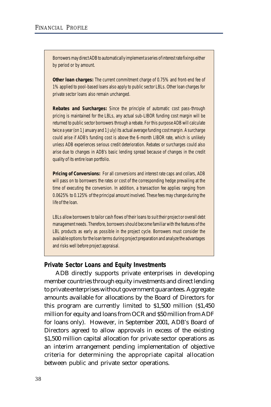Borrowers may direct ADB to automatically implement a series of interest rate fixings either by period or by amount.

**Other loan charges:** The current commitment charge of 0.75% and front-end fee of 1% applied to pool-based loans also apply to public sector LBLs. Other loan charges for private sector loans also remain unchanged.

**Rebates and Surcharges:** Since the principle of automatic cost pass-through pricing is maintained for the LBLs, any actual sub-LIBOR funding cost margin will be returned to public sector borrowers through a rebate. For this purpose ADB will calculate twice a year (on 1 January and 1 July) its actual average funding cost margin. A surcharge could arise if ADB's funding cost is above the 6-month LIBOR rate, which is unlikely unless ADB experiences serious credit deterioration. Rebates or surcharges could also arise due to changes in ADB's basic lending spread because of changes in the credit quality of its entire loan portfolio.

**Pricing of Conversions:** For all conversions and interest rate caps and collars, ADB will pass on to borrowers the rates or cost of the corresponding hedge prevailing at the time of executing the conversion. In addition, a transaction fee applies ranging from 0.0625% to 0.125% of the principal amount involved. These fees may change during the life of the loan.

LBLs allow borrowers to tailor cash flows of their loans to suit their project or overall debt management needs. Therefore, borrowers should become familiar with the features of the LBL products as early as possible in the project cycle. Borrowers must consider the available options for the loan terms during project preparation and analyze the advantages and risks well before project appraisal.

### **Private Sector Loans and Equity Investments**

ADB directly supports private enterprises in developing member countries through equity investments and direct lending to private enterprises without government guarantees. Aggregate amounts available for allocations by the Board of Directors for this program are currently limited to \$1,500 million (\$1,450 million for equity and loans from OCR and \$50 million from ADF for loans only). However, in September 2001, ADB's Board of Directors agreed to allow approvals in excess of the existing \$1,500 million capital allocation for private sector operations as an interim arrangement pending implementation of objective criteria for determining the appropriate capital allocation between public and private sector operations.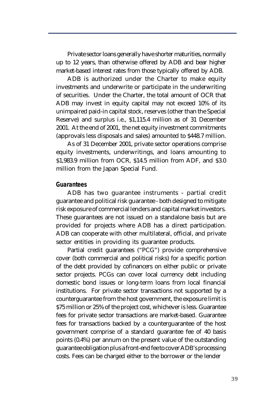Private sector loans generally have shorter maturities, normally up to 12 years, than otherwise offered by ADB and bear higher market-based interest rates from those typically offered by ADB.

ADB is authorized under the Charter to make equity investments and underwrite or participate in the underwriting of securities. Under the Charter, the total amount of OCR that ADB may invest in equity capital may not exceed 10% of its unimpaired paid-in capital stock, reserves (other than the Special Reserve) and surplus i.e., \$1,115.4 million as of 31 December 2001. At the end of 2001, the net equity investment commitments (approvals less disposals and sales) amounted to \$448.7 million.

As of 31 December 2001, private sector operations comprise equity investments, underwritings, and loans amounting to \$1,983.9 million from OCR, \$14.5 million from ADF, and \$3.0 million from the Japan Special Fund.

#### **Guarantees**

ADB has two guarantee instruments - partial credit guarantee and political risk guarantee - both designed to mitigate risk exposure of commercial lenders and capital market investors. These guarantees are not issued on a standalone basis but are provided for projects where ADB has a direct participation. ADB can cooperate with other multilateral, official, and private sector entities in providing its guarantee products.

Partial credit guarantees ("PCG") provide comprehensive cover (both commercial and political risks) for a specific portion of the debt provided by cofinancers on either public or private sector projects. PCGs can cover local currency debt including domestic bond issues or long-term loans from local financial institutions. For private sector transactions not supported by a counterguarantee from the host government, the exposure limit is \$75 million or 25% of the project cost, whichever is less. Guarantee fees for private sector transactions are market-based. Guarantee fees for transactions backed by a counterguarantee of the host government comprise of a standard guarantee fee of 40 basis points (0.4%) per annum on the present value of the outstanding guarantee obligation plus a front-end fee to cover ADB's processing costs. Fees can be charged either to the borrower or the lender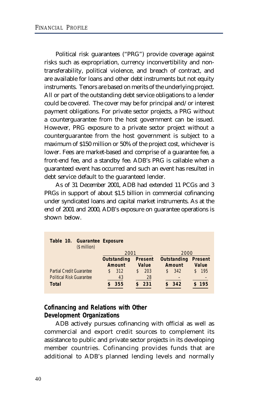Political risk guarantees ("PRG") provide coverage against risks such as expropriation, currency inconvertibility and nontransferability, political violence, and breach of contract, and are available for loans and other debt instruments but not equity instruments. Tenors are based on merits of the underlying project. All or part of the outstanding debt service obligations to a lender could be covered. The cover may be for principal and/or interest payment obligations. For private sector projects, a PRG without a counterguarantee from the host government can be issued. However, PRG exposure to a private sector project without a counterguarantee from the host government is subject to a maximum of \$150 million or 50% of the project cost, whichever is lower. Fees are market-based and comprise of a guarantee fee, a front-end fee, and a standby fee. ADB's PRG is callable when a guaranteed event has occurred and such an event has resulted in debt service default to the guaranteed lender.

As of 31 December 2001, ADB had extended 11 PCGs and 3 PRGs in support of about \$1.5 billion in commercial cofinancing under syndicated loans and capital market instruments. As at the end of 2001 and 2000, ADB's exposure on guarantee operations is shown below.

| Table 10. Guarantee Exposure<br>$$$ million) |             |                |             |            |
|----------------------------------------------|-------------|----------------|-------------|------------|
|                                              | 2001        |                | 2000        |            |
|                                              | Outstanding | <b>Present</b> | Outstanding | Present    |
|                                              | Amount      | Value          | Amount      | Value      |
| <b>Partial Credit Guarantee</b>              | 312<br>\$   | 203<br>S.      | 342<br>\$   | 195<br>\$. |
| <b>Political Risk Guarantee</b>              | 43          | 28             |             |            |
| Total                                        | 355         | 231            | 342         | \$195      |

# **Cofinancing and Relations with Other Development Organizations**

ADB actively pursues cofinancing with official as well as commercial and export credit sources to complement its assistance to public and private sector projects in its developing member countries. Cofinancing provides funds that are additional to ADB's planned lending levels and normally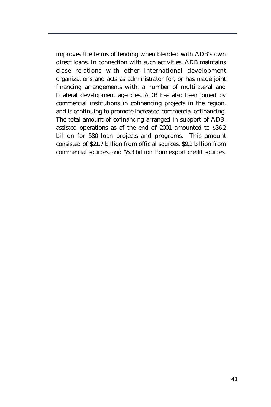improves the terms of lending when blended with ADB's own direct loans. In connection with such activities, ADB maintains close relations with other international development organizations and acts as administrator for, or has made joint financing arrangements with, a number of multilateral and bilateral development agencies. ADB has also been joined by commercial institutions in cofinancing projects in the region, and is continuing to promote increased commercial cofinancing. The total amount of cofinancing arranged in support of ADBassisted operations as of the end of 2001 amounted to \$36.2 billion for 580 loan projects and programs. This amount consisted of \$21.7 billion from official sources, \$9.2 billion from commercial sources, and \$5.3 billion from export credit sources.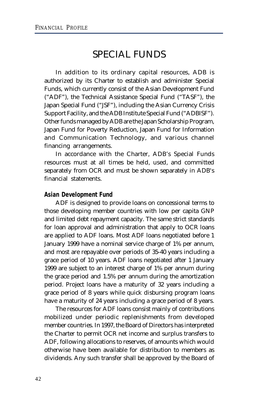# SPECIAL FUNDS

In addition to its ordinary capital resources, ADB is authorized by its Charter to establish and administer Special Funds, which currently consist of the Asian Development Fund ("ADF"), the Technical Assistance Special Fund ("TASF"), the Japan Special Fund ("JSF"), including the Asian Currency Crisis Support Facility, and the ADB Institute Special Fund ("ADBISF"). Other funds managed by ADB are the Japan Scholarship Program, Japan Fund for Poverty Reduction, Japan Fund for Information and Communication Technology, and various channel financing arrangements.

In accordance with the Charter, ADB's Special Funds resources must at all times be held, used, and committed separately from OCR and must be shown separately in ADB's financial statements.

# **Asian Development Fund**

ADF is designed to provide loans on concessional terms to those developing member countries with low per capita GNP and limited debt repayment capacity. The same strict standards for loan approval and administration that apply to OCR loans are applied to ADF loans. Most ADF loans negotiated before 1 January 1999 have a nominal service charge of 1% per annum, and most are repayable over periods of 35-40 years including a grace period of 10 years. ADF loans negotiated after 1 January 1999 are subject to an interest charge of 1% per annum during the grace period and 1.5% per annum during the amortization period. Project loans have a maturity of 32 years including a grace period of 8 years while quick disbursing program loans have a maturity of 24 years including a grace period of 8 years.

The resources for ADF loans consist mainly of contributions mobilized under periodic replenishments from developed member countries. In 1997, the Board of Directors has interpreted the Charter to permit OCR net income and surplus transfers to ADF, following allocations to reserves, of amounts which would otherwise have been available for distribution to members as dividends. Any such transfer shall be approved by the Board of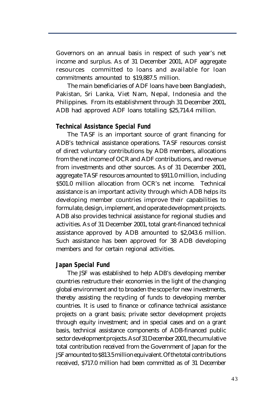Governors on an annual basis in respect of such year's net income and surplus. As of 31 December 2001, ADF aggregate resources committed to loans and available for loan commitments amounted to \$19,887.5 million.

The main beneficiaries of ADF loans have been Bangladesh, Pakistan, Sri Lanka, Viet Nam, Nepal, Indonesia and the Philippines. From its establishment through 31 December 2001, ADB had approved ADF loans totalling \$25,714.4 million.

# **Technical Assistance Special Fund**

The TASF is an important source of grant financing for ADB's technical assistance operations. TASF resources consist of direct voluntary contributions by ADB members, allocations from the net income of OCR and ADF contributions, and revenue from investments and other sources. As of 31 December 2001, aggregate TASF resources amounted to \$911.0 million, including \$501.0 million allocation from OCR's net income. Technical assistance is an important activity through which ADB helps its developing member countries improve their capabilities to formulate, design, implement, and operate development projects. ADB also provides technical assistance for regional studies and activities. As of 31 December 2001, total grant-financed technical assistance approved by ADB amounted to \$2,043.6 million. Such assistance has been approved for 38 ADB developing members and for certain regional activities.

### **Japan Special Fund**

The JSF was established to help ADB's developing member countries restructure their economies in the light of the changing global environment and to broaden the scope for new investments, thereby assisting the recycling of funds to developing member countries. It is used to finance or cofinance technical assistance projects on a grant basis; private sector development projects through equity investment; and in special cases and on a grant basis, technical assistance components of ADB-financed public sector development projects. As of 31 December 2001, the cumulative total contribution received from the Government of Japan for the JSF amounted to \$813.5 million equivalent. Of the total contributions received, \$717.0 million had been committed as of 31 December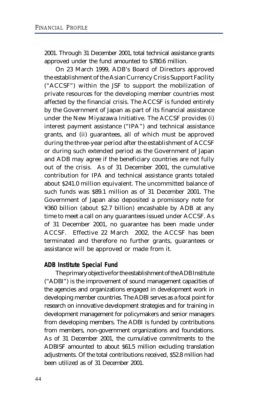2001. Through 31 December 2001, total technical assistance grants approved under the fund amounted to \$780.6 million.

On 23 March 1999, ADB's Board of Directors approved the establishment of the Asian Currency Crisis Support Facility ("ACCSF") within the JSF to support the mobilization of private resources for the developing member countries most affected by the financial crisis. The ACCSF is funded entirely by the Government of Japan as part of its financial assistance under the New Miyazawa Initiative. The ACCSF provides (i) interest payment assistance ("IPA") and technical assistance grants, and (ii) guarantees, all of which must be approved during the three-year period after the establishment of ACCSF or during such extended period as the Government of Japan and ADB may agree if the beneficiary countries are not fully out of the crisis. As of 31 December 2001, the cumulative contribution for IPA and technical assistance grants totaled about \$241.0 million equivalent. The uncommitted balance of such funds was \$89.1 million as of 31 December 2001. The Government of Japan also deposited a promissory note for ¥360 billion (about \$2.7 billion) encashable by ADB at any time to meet a call on any guarantees issued under ACCSF. As of 31 December 2001, no guarantee has been made under ACCSF. Effective 22 March 2002, the ACCSF has been terminated and therefore no further grants, guarantees or assistance will be approved or made from it.

# **ADB Institute Special Fund**

The primary objective for the establishment of the ADB Institute ("ADBI") is the improvement of sound management capacities of the agencies and organizations engaged in development work in developing member countries. The ADBI serves as a focal point for research on innovative development strategies and for training in development management for policymakers and senior managers from developing members. The ADBI is funded by contributions from members, non-government organizations and foundations. As of 31 December 2001, the cumulative commitments to the ADBISF amounted to about \$61.5 million excluding translation adjustments. Of the total contributions received, \$52.8 million had been utilized as of 31 December 2001.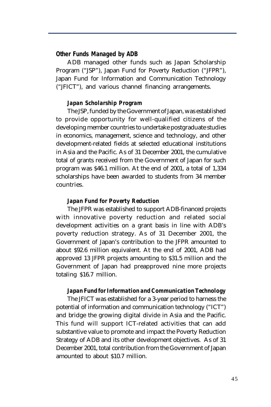### **Other Funds Managed by ADB**

ADB managed other funds such as Japan Scholarship Program ("JSP"), Japan Fund for Poverty Reduction ("JFPR"), Japan Fund for Information and Communication Technology ("JFICT"), and various channel financing arrangements.

#### *Japan Scholarship Program*

The JSP, funded by the Government of Japan, was established to provide opportunity for well-qualified citizens of the developing member countries to undertake postgraduate studies in economics, management, science and technology, and other development-related fields at selected educational institutions in Asia and the Pacific. As of 31 December 2001, the cumulative total of grants received from the Government of Japan for such program was \$46.1 million. At the end of 2001, a total of 1,334 scholarships have been awarded to students from 34 member countries.

### *Japan Fund for Poverty Reduction*

The JFPR was established to support ADB-financed projects with innovative poverty reduction and related social development activities on a grant basis in line with ADB's poverty reduction strategy. As of 31 December 2001, the Government of Japan's contribution to the JFPR amounted to about \$92.6 million equivalent. At the end of 2001, ADB had approved 13 JFPR projects amounting to \$31.5 million and the Government of Japan had preapproved nine more projects totaling \$16.7 million.

#### *Japan Fund for Information and Communication Technology*

The JFICT was established for a 3-year period to harness the potential of information and communication technology ("ICT") and bridge the growing digital divide in Asia and the Pacific. This fund will support ICT-related activities that can add substantive value to promote and impact the Poverty Reduction Strategy of ADB and its other development objectives. As of 31 December 2001, total contribution from the Government of Japan amounted to about \$10.7 million.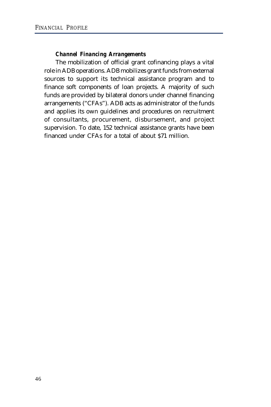# *Channel Financing Arrangements*

The mobilization of official grant cofinancing plays a vital role in ADB operations. ADB mobilizes grant funds from external sources to support its technical assistance program and to finance soft components of loan projects. A majority of such funds are provided by bilateral donors under channel financing arrangements ("CFAs"). ADB acts as administrator of the funds and applies its own guidelines and procedures on recruitment of consultants, procurement, disbursement, and project supervision. To date, 152 technical assistance grants have been financed under CFAs for a total of about \$71 million.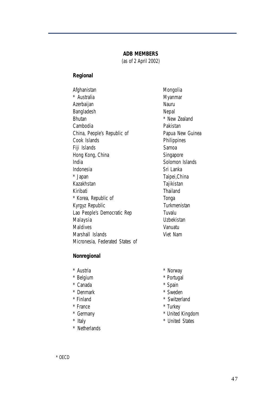#### **ADB MEMBERS**

(as of 2 April 2002)

#### **Regional**

Afghanistan Mongolia \* Australia Myanmar Azerbaijan Nauru Bangladesh Nepal Bhutan \* New Zealand Cambodia **Pakistan** China, People's Republic of Papua New Guinea Cook Islands **Philippines** Fiji Islands Samoa Hong Kong, China Singapore India Solomon Islands Indonesia Sri Lanka \* Japan Taipei,China Kazakhstan Tajikistan Kiribati Thailand \* Korea, Republic of Tonga Kyrgyz Republic **Turkmenistan** Lao People's Democratic Rep Tuvalu Malaysia Uzbekistan Maldives Vanuatu Marshall Islands Viet Nam Micronesia, Federated States of

#### **Nonregional**

- 
- 
- \* Canada \* Spain
- \* Denmark \* Sweden
- 
- 
- -
- \* Netherlands
- \* Austria \* Norway
- \* Belgium \* Portugal
	-
	-
- \* Finland \* Switzerland
- \* France  $*$  Turkey
- \* Germany \* United Kingdom
- \* Italy \* United States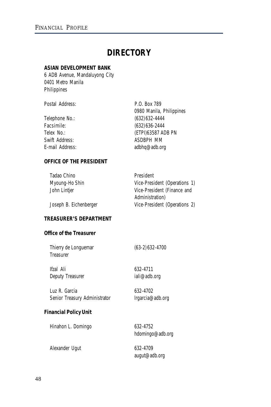# **DIRECTORY**

# **ASIAN DEVELOPMENT BANK**

6 ADB Avenue, Mandaluyong City 0401 Metro Manila Philippines

Postal Address: P.O. Box 789

|                 | 0980 Manila, Philippines |
|-----------------|--------------------------|
| Telephone No.:  | $(632)$ 632-4444         |
| Facsimile:      | $(632)$ 636-2444         |
| Telex No.:      | (ETPI)63587 ADB PN       |
| Swift Address:  | ASDBPH MM                |
| E-mail Address: | adbhq@adb.org            |
|                 |                          |

# **OFFICE OF THE PRESIDENT**

| Tadao Chino            | President                     |
|------------------------|-------------------------------|
| Myoung-Ho Shin         | Vice-President (Operations 1) |
| John Lintjer           | Vice-President (Finance and   |
|                        | Administration)               |
| Joseph B. Eichenberger | Vice-President (Operations 2) |

# **TREASURER'S DEPARTMENT**

# **Office of the Treasurer**

| Thierry de Longuemar<br>Treasurer | $(63-2)$ 632-4700 |
|-----------------------------------|-------------------|
| lfzal Ali                         | 632-4711          |
| Deputy Treasurer                  | iali@adb.org      |
| Luz R. Garcia                     | 632-4702          |
| Senior Treasury Administrator     | Irgarcia@adb.org  |
| ancial Dolicy Llnit               |                   |

#### **Financial Policy Unit**

Hinahon L. Domingo 632-4752

hdomingo@adb.org

Alexander Ugut 632-4709

augut@adb.org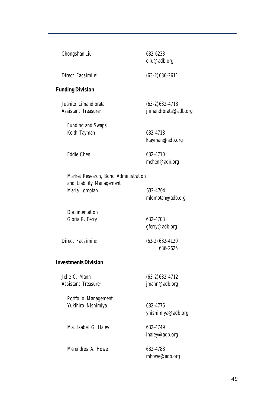| Chongshan Liu                                                    | 632-6233<br>cliu@adb.org                   |
|------------------------------------------------------------------|--------------------------------------------|
| Direct Facsimile:                                                | $(63-2)636-2611$                           |
| <b>Funding Division</b>                                          |                                            |
| Juanito Limandibrata<br>Assistant Treasurer                      | $(63-2)$ 632-4713<br>jlimandibrata@adb.org |
| <b>Funding and Swaps</b><br>Keith Tayman                         | 632-4718<br>ktayman@adb.org                |
| Eddie Chen                                                       | 632-4710<br>mchen@adb.org                  |
| Market Research, Bond Administration<br>and Liability Management |                                            |
| Maria Lomotan                                                    | 632-4704<br>mlomotan@adb.org               |
| Documentation                                                    |                                            |
| Gloria P. Ferry                                                  | 632-4703<br>gferry@adb.org                 |
| Direct Facsimile:                                                | (63-2) 632-4120<br>636-2625                |
| <b>Investments Division</b>                                      |                                            |
| Jelle C. Mann<br><b>Assistant Treasurer</b>                      | $(63-2)632-4712$<br>jmann@adb.org          |
| Portfolio Management<br>Yukihiro Nishimiya                       | 632-4776<br>ynishimiya@adb.org             |

Ma. Isabel G. Haley 632-4749

ihaley@adb.org

Melendres A. Howe 632-4788 mhowe@adb.org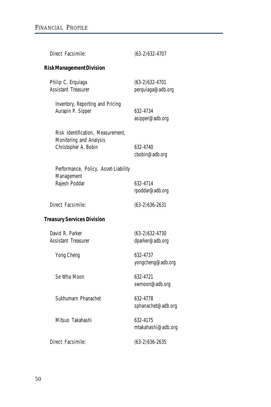| Direct Facsimile:                                                                    | $(63-2)632-4707$                       |
|--------------------------------------------------------------------------------------|----------------------------------------|
| <b>Risk Management Division</b>                                                      |                                        |
| Philip C. Erquiaga<br><b>Assistant Treasurer</b>                                     | $(63-2)$ 632-4701<br>perquiaga@adb.org |
| Inventory, Reporting and Pricing<br>Aurapin P. Sipper                                | 632-4734<br>asipper@adb.org            |
| Risk Identification, Measurement,<br>Monitoring and Analysis<br>Christopher A. Bobin | 632-4740<br>cbobin@adb.org             |
| Performance, Policy, Asset-Liability<br>Management<br>Rajesh Poddar                  | 632-4714<br>rpoddar@adb.org            |
| Direct Facsimile:                                                                    | $(63-2)636-2631$                       |
| <b>Treasury Services Division</b>                                                    |                                        |
| David R. Parker<br>Assistant Treasurer                                               | $(63-2)632-4730$<br>dparker@adb.org    |
| Yong Cheng                                                                           | 632-4737<br>yongcheng@adb.org          |
| Se Wha Moon                                                                          | 632-4721<br>swmoon@adb.org             |
| Sukhumarn Phanachet                                                                  | 632-4778<br>sphanachet@adb.org         |
| Mitsuo Takahashi                                                                     | 632-4175<br>mtakahashi@adb.org         |
| Direct Facsimile:                                                                    | $(63-2)$ 636-2635                      |